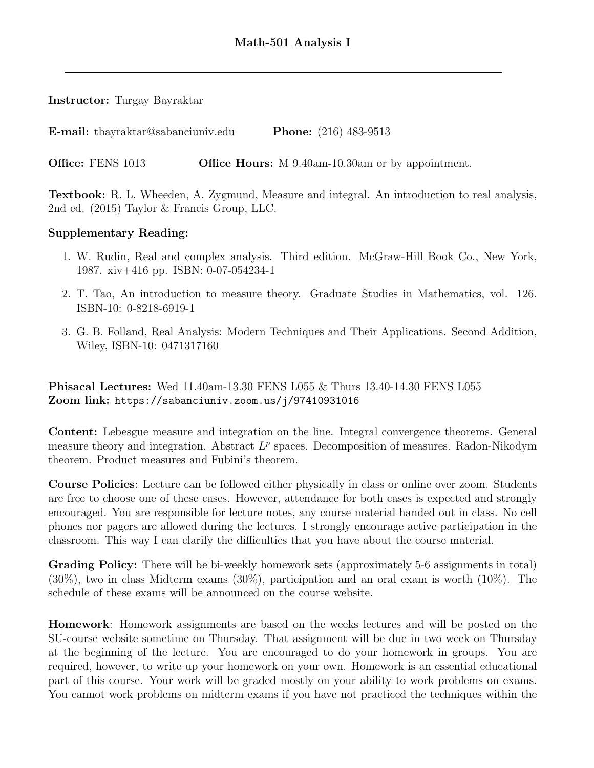## Instructor: Turgay Bayraktar

E-mail: tbayraktar@sabanciuniv.edu Phone: (216) 483-9513

Office: FENS 1013 Office Hours: M 9.40am-10.30am or by appointment.

Textbook: R. L. Wheeden, A. Zygmund, Measure and integral. An introduction to real analysis, 2nd ed. (2015) Taylor & Francis Group, LLC.

## Supplementary Reading:

- 1. W. Rudin, Real and complex analysis. Third edition. McGraw-Hill Book Co., New York, 1987. xiv+416 pp. ISBN: 0-07-054234-1
- 2. T. Tao, An introduction to measure theory. Graduate Studies in Mathematics, vol. 126. ISBN-10: 0-8218-6919-1
- 3. G. B. Folland, Real Analysis: Modern Techniques and Their Applications. Second Addition, Wiley, ISBN-10: 0471317160

Phisacal Lectures: Wed 11.40am-13.30 FENS L055 & Thurs 13.40-14.30 FENS L055 Zoom link: https://sabanciuniv.zoom.us/j/97410931016

Content: Lebesgue measure and integration on the line. Integral convergence theorems. General measure theory and integration. Abstract  $L^p$  spaces. Decomposition of measures. Radon-Nikodym theorem. Product measures and Fubini's theorem.

Course Policies: Lecture can be followed either physically in class or online over zoom. Students are free to choose one of these cases. However, attendance for both cases is expected and strongly encouraged. You are responsible for lecture notes, any course material handed out in class. No cell phones nor pagers are allowed during the lectures. I strongly encourage active participation in the classroom. This way I can clarify the difficulties that you have about the course material.

Grading Policy: There will be bi-weekly homework sets (approximately 5-6 assignments in total) (30%), two in class Midterm exams (30%), participation and an oral exam is worth (10%). The schedule of these exams will be announced on the course website.

Homework: Homework assignments are based on the weeks lectures and will be posted on the SU-course website sometime on Thursday. That assignment will be due in two week on Thursday at the beginning of the lecture. You are encouraged to do your homework in groups. You are required, however, to write up your homework on your own. Homework is an essential educational part of this course. Your work will be graded mostly on your ability to work problems on exams. You cannot work problems on midterm exams if you have not practiced the techniques within the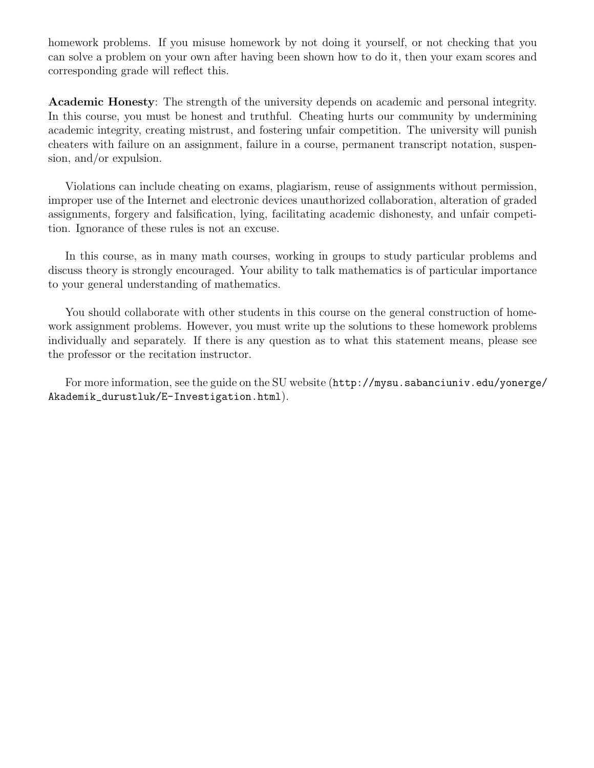homework problems. If you misuse homework by not doing it yourself, or not checking that you can solve a problem on your own after having been shown how to do it, then your exam scores and corresponding grade will reflect this.

Academic Honesty: The strength of the university depends on academic and personal integrity. In this course, you must be honest and truthful. Cheating hurts our community by undermining academic integrity, creating mistrust, and fostering unfair competition. The university will punish cheaters with failure on an assignment, failure in a course, permanent transcript notation, suspension, and/or expulsion.

Violations can include cheating on exams, plagiarism, reuse of assignments without permission, improper use of the Internet and electronic devices unauthorized collaboration, alteration of graded assignments, forgery and falsification, lying, facilitating academic dishonesty, and unfair competition. Ignorance of these rules is not an excuse.

In this course, as in many math courses, working in groups to study particular problems and discuss theory is strongly encouraged. Your ability to talk mathematics is of particular importance to your general understanding of mathematics.

You should collaborate with other students in this course on the general construction of homework assignment problems. However, you must write up the solutions to these homework problems individually and separately. If there is any question as to what this statement means, please see the professor or the recitation instructor.

For more information, see the guide on the SU website (http://mysu.sabanciuniv.edu/yonerge/ Akademik\_durustluk/E-Investigation.html).